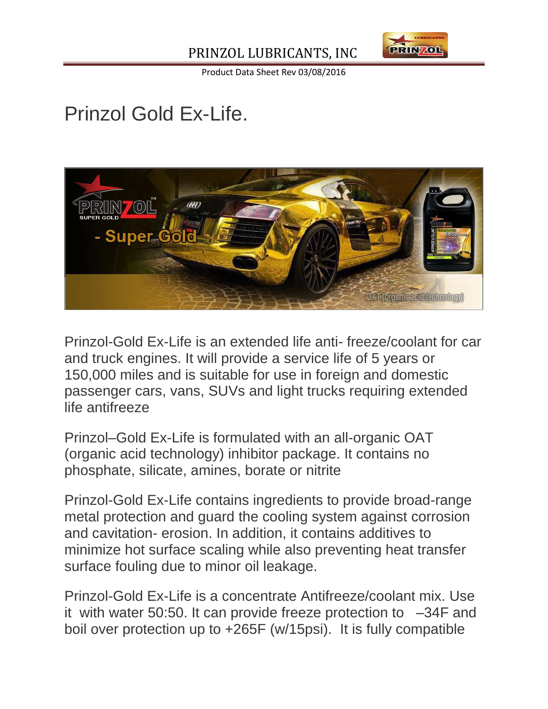

Product Data Sheet Rev 03/08/2016

## Prinzol Gold Ex-Life.



Prinzol-Gold Ex-Life is an extended life anti- freeze/coolant for car and truck engines. It will provide a service life of 5 years or 150,000 miles and is suitable for use in foreign and domestic passenger cars, vans, SUVs and light trucks requiring extended life antifreeze

Prinzol–Gold Ex-Life is formulated with an all-organic OAT (organic acid technology) inhibitor package. It contains no phosphate, silicate, amines, borate or nitrite

Prinzol-Gold Ex-Life contains ingredients to provide broad-range metal protection and guard the cooling system against corrosion and cavitation- erosion. In addition, it contains additives to minimize hot surface scaling while also preventing heat transfer surface fouling due to minor oil leakage.

Prinzol-Gold Ex-Life is a concentrate Antifreeze/coolant mix. Use it with water 50:50. It can provide freeze protection to –34F and boil over protection up to +265F (w/15psi). It is fully compatible